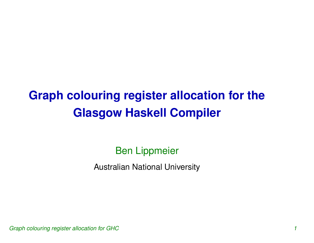# **Graph colouring register allocation for the Glasgow Haskell Compiler**

#### Ben Lippmeier

Australian National University

Graph colouring register allocation for GHC 1000 m and 1000 m and 1000 m and 1000 m and 1000 m and 1000 m and 1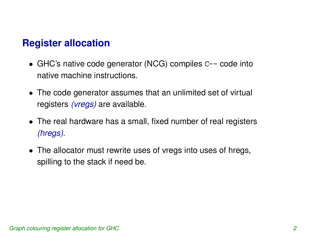#### **Register allocation**

- GHC's native code generator (NCG) compiles C-- code into native machine instructions.
- The code generator assumes that an unlimited set of virtual registers (*vregs*) are available.
- The real hardware has <sup>a</sup> small, fixed number of real registers (hregs).
- The allocator must rewrite uses of vregs into uses of hregs, spilling to the stack if need be.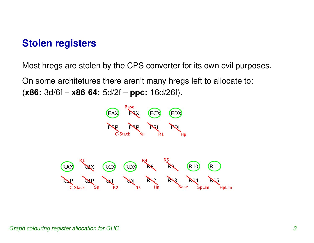#### **Stolen registers**

Most hregs are stolen by the CPS converter for its own evil purposes.

On some architetures there aren't many hregs left to allocate to: (**x86:** 3d/6f – **x86 64:** 5d/2f – **ppc:** 16d/26f).

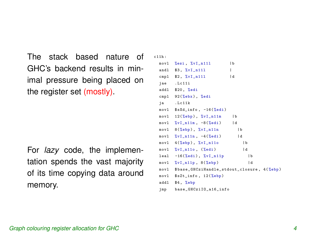The stack based nature of GHC's backend results in minimal pressure being placed on the register set (mostly).

For *lazy* code, the implementation spends the vast majority of its time copying data around memory.

```
c11h :
 mov1 %esi, %vI_n111 |b
 andl $3, \sqrt[9]{v1} n111cmpl $2, %vI_n111 |d
  jae . Lc11i
  addl $20 , %edi
  cmpl 92(%ebx), %edi
 ja . Lc11k
 mov1 $sXd_info, -16(\%edi)mov1 12(%ebp), %vI_n11m |b
 mov1 \quad \sqrt[9]{v1} \quad n11m, -8(\sqrt[9]{e}di) |d
 mov1 8(%ebp), %vI_n11n |b
 mov1 \quad %vI_n11n, -4 (%edi) |d
 mov1 4(%ebp), %vI_n11o |b
 mov1 \quad %v1_n110, (%edi) |d
  leal -16(%edi), %vI_n11p |b
 mov1 \quad %v1_n11p, 8(\%ebp) |d
 movl $ base_GHCziHandle_stdout_closure , 4( %ebp )
  movl $sZt_info , 12( %ebp )
  addl $4, %ebp
  jmp base_GHCziIO_a16_info
```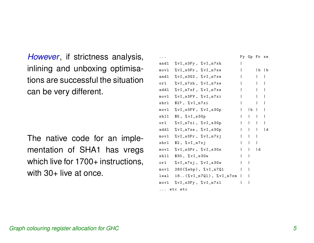However, if strictness analysis, inlining and unboxing optimisations are successful the situation can be very different.

The native code for an implementation of SHA1 has vregs which live for 1700+ instructions, with 30+ live at once.

|         |                                                |  |                                  | Fy Gp Fr xe                            |   |  |
|---------|------------------------------------------------|--|----------------------------------|----------------------------------------|---|--|
|         | andl %vI_s3Fy, %vI_n7xh                        |  |                                  |                                        |   |  |
|         | movl %vI_s3Fr, %vI_n7xe                        |  |                                  |                                        | b |  |
|         | andl $\sqrt[6]{v}I_s3G2$ , $\sqrt[6]{v}I_n7xe$ |  |                                  | $\mathbf{L}$                           | I |  |
| orl     | %vI_n7xh, %vI_n7xe                             |  |                                  |                                        |   |  |
| addl    | $\sqrt[6]{v}$ J_n7xf, $\sqrt[6]{v}$ J_n7xe     |  |                                  |                                        |   |  |
|         | movl %vI_s3FV, %vI_n7xi                        |  |                                  |                                        |   |  |
|         | shrl $$27, %vI_n7xi$                           |  |                                  |                                        |   |  |
|         | movl %vI_s3FV, %vI_s3Gp                        |  |                                  | b                                      |   |  |
| shll    | $$5, %vI_s3Gp$                                 |  | $\mathbf{I}$                     | $\mathbf{L}$                           |   |  |
| orl     | %vI_n7xi, %vI_s3Gp                             |  | $\begin{array}{ccc} \end{array}$ | $\mathbf{L}$                           |   |  |
| addl    | $\sqrt[6]{v}I_n7xe, \sqrt[6]{v}I_s3Gp$         |  |                                  | $\mathbf{1}$ $\mathbf{1}$ $\mathbf{1}$ | d |  |
|         | $mov1$ %vI_s3Fr, %vI_n7xj                      |  | $\mathbf{L}$                     | $\mathbf{I}$                           |   |  |
|         | shrl $$2, %vI_n7xj$                            |  | $\sim$ 1 $\sim$ 1                |                                        |   |  |
|         | movl %vI_s3Fr, %vI_s3Gw                        |  | $\mathbf{I}$                     | l d                                    |   |  |
| shll    | $$30, \sqrt[6]{v1}$ _s3Gw                      |  | I                                |                                        |   |  |
| orl     | $\sqrt[6]{v1}$ _n7xj, $\sqrt[6]{v1}$ _s3Gw     |  | I                                |                                        |   |  |
|         | $mov1$ 280(%ebp), % $vI_n7Q1$                  |  |                                  |                                        |   |  |
| leal    | $18 \ldots$ (%vI_n7Q1), %vI_n7xm               |  |                                  |                                        |   |  |
|         | movl %vI_s3Fy, %vI_n7x1                        |  |                                  |                                        |   |  |
| etc etc |                                                |  |                                  |                                        |   |  |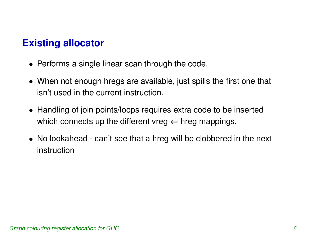## **Existing allocator**

- Performs <sup>a</sup> single linear scan through the code.
- When not enough hregs are available, just spills the first one that isn't used in the current instruction.
- Handling of join points/loops requires extra code to be inserted which connects up the different vreg  $\Leftrightarrow$  hreg mappings.
- No lookahead can't see that <sup>a</sup> hreg will be clobbered in the next instruction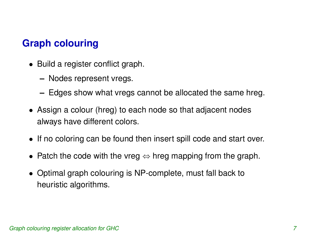# **Graph colouring**

- Build <sup>a</sup> register conflict graph.
	- **–**Nodes represent vregs.
	- **–**Edges show what vregs cannot be allocated the same hreg.
- Assign <sup>a</sup> colour (hreg) to each node so that adjacent nodes always have different colors.
- If no coloring can be found then insert spill code and start over.
- Patch the code with the vreg  $\Leftrightarrow$  hreg mapping from the graph.
- Optimal graph colouring is NP-complete, must fall back to heuristic algorithms.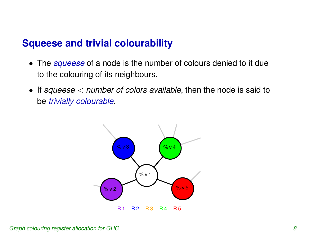#### **Squeese and trivial colourability**

- The squeese of a node is the number of colours denied to it due to the colouring of its neighbours.
- If squeese  $<$  number of colors available, then the node is said to be trivially colourable.

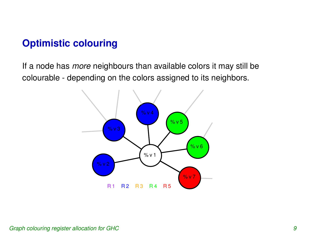### **Optimistic colouring**

If a node has *more* neighbours than available colors it may still be colourable - depending on the colors assigned to its neighbors.

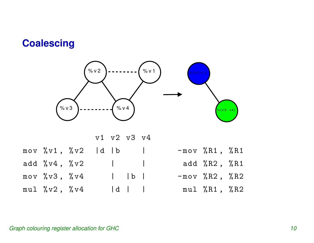### **Coalescing**



|                                                       |  | v1 v2 v3 v4                     |                                 |  |                 |  |
|-------------------------------------------------------|--|---------------------------------|---------------------------------|--|-----------------|--|
| mov $\sqrt{v1}$ , $\sqrt{v2}$   d   b                 |  |                                 |                                 |  | $-mov$ %R1, %R1 |  |
| add $\sqrt[6]{0} \text{v4}$ , $\sqrt[6]{0} \text{v2}$ |  | the contract of the contract of |                                 |  | add %R2, %R1    |  |
| $mov$ % v3, % v4                                      |  |                                 | $\vert$ $\vert$ $\vert$ $\vert$ |  | $-mov$ %R2, %R2 |  |
| $mu1 \ \text{%v2}$ , $\text{%v4}$                     |  |                                 |                                 |  | mul %R1, %R2    |  |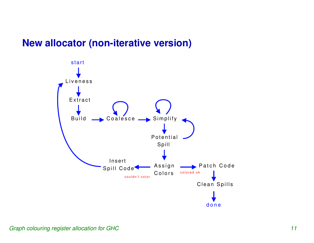#### **New allocator (non-iterative version)**

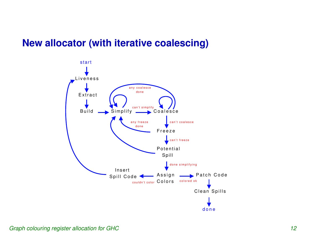#### **New allocator (with iterative coalescing)**

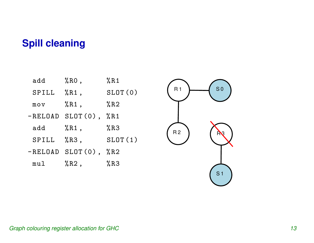#### **Spill cleaning**

| add         | $%RO$ ,                   | %R1     |
|-------------|---------------------------|---------|
| SPILL       | %R1,                      | SLOT(0) |
| $m \circ v$ | %R1,                      | $\%$ R2 |
|             | $-RELOAD SLOT(0)$ , $%RI$ |         |
| add         | %R1,                      | %R3     |
| SPILL       | $%R3$ ,                   | SLOT(1) |
|             | $-RELOAD SLOT(0)$ , $%R2$ |         |
| mul         | $%$ R2,                   | %R3     |



#### Graph colouring register allocation for GHC 13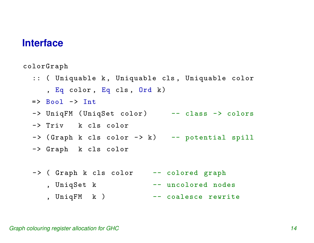#### **Interface**

colorGraph

- :: ( Uniquable k, Uniquable cls, Uniquable color , Eq color , Eq cls , Ord k) => Bool -> Int -> UniqFM ( UniqSet color ) -- class -> colors -> Triv k cls color -> ( Graph <sup>k</sup> cls color -> k) -- potential spill -> Graph k cls color -> ( Graph <sup>k</sup> cls color -- colored grap<sup>h</sup>
	- , UniqSet k -- uncolored nodes
		- , UniqFM <sup>k</sup> ) -- coalesce rewrite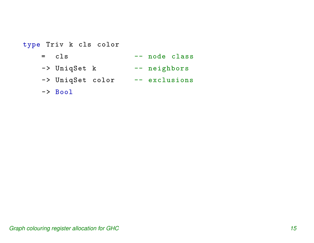#### type Triv k cls color  $=$   $c1s$ -- node class -> UniqSet k -- neighbors -> UniqSet color -- exclusions -> Bool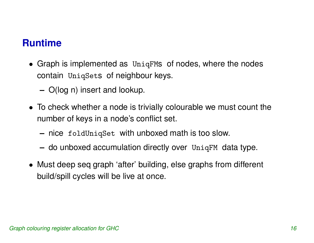#### **Runtime**

- Graph is implemented as UniqFM<sup>s</sup> of nodes, where the nodes contain UniqSet<sup>s</sup> of neighbour keys.
	- **–**O(log n) insert and lookup.
- To check whether <sup>a</sup> node is trivially colourable we must count the number of keys in <sup>a</sup> node's conflict set.
	- **–** $\hspace{0.1mm}-$  nice <code>foldUniqSet</code> with unboxed math is too slow.
	- **–** $\hspace{0.1mm}-\hspace{0.1mm}$  do unboxed accumulation directly over  $\hspace{0.1mm}$  UniqFM  $\hspace{0.1mm}$  data type.
- Must deep seq graph 'after' building, else graphs from different build/spill cycles will be live at once.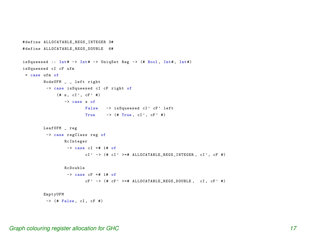```
# define ALLOCATABLE
_
REGS
_
INTEGER 3#
# define ALLOCATABLE
_
REGS
_
DOUBLE 6#
isSqueesed :: Int# \rightarrow Int# \rightarrow UniqSet Reg \rightarrow (# Bool, Int#, Int#)
isSqueesed cI cF ufm
 = case ufm of
         NodeUFM
_ _
left right
          -> case isSqueesed cI cF right of
              (# s, cI', cF' )-> case s of
                           False -> isSqueesed cI' cF' left
                           True \rightarrow (# True, cI', cF' #)
         LeafUFM
_
reg
          -> case regClass reg of
                  RcInteger
                   \rightarrow case cI +# 1# of
                           cI' -> (# cI' >=# ALLOCATABLE_REGS_INTEGER, cI', cF #)
                  RcDouble
                   \rightarrow case cF +# 1# of
                           cF' -> (# cF' >=# ALLOCATABLE_REGS_DOUBLE, cI, cF' #)
         EmptyUFM
```

```
\rightarrow (# False, cI, cF #)
```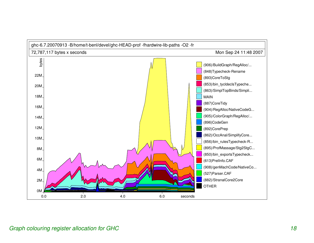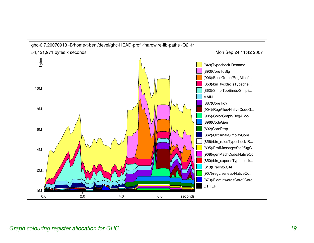

#### Graph colouring register allocation for GHC 19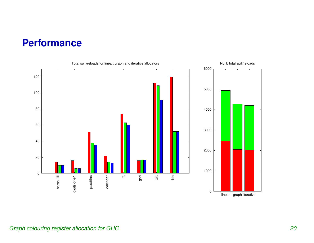#### **Performance**